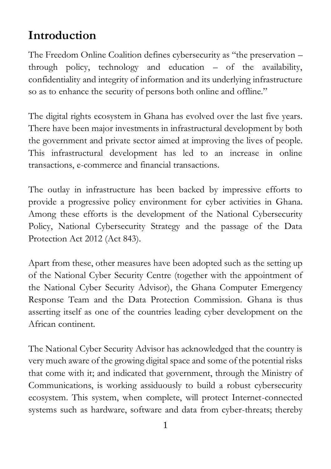### **Introduction**

The Freedom Online Coalition defines cybersecurity as "the preservation – through policy, technology and education – of the availability, confidentiality and integrity of information and its underlying infrastructure so as to enhance the security of persons both online and offline."

The digital rights ecosystem in Ghana has evolved over the last five years. There have been major investments in infrastructural development by both the government and private sector aimed at improving the lives of people. This infrastructural development has led to an increase in online transactions, e-commerce and financial transactions.

The outlay in infrastructure has been backed by impressive efforts to provide a progressive policy environment for cyber activities in Ghana. Among these efforts is the development of the National Cybersecurity Policy, National Cybersecurity Strategy and the passage of the Data Protection Act 2012 (Act 843).

Apart from these, other measures have been adopted such as the setting up of the National Cyber Security Centre (together with the appointment of the National Cyber Security Advisor), the Ghana Computer Emergency Response Team and the Data Protection Commission. Ghana is thus asserting itself as one of the countries leading cyber development on the African continent.

The National Cyber Security Advisor has acknowledged that the country is very much aware of the growing digital space and some of the potential risks that come with it; and indicated that government, through the Ministry of Communications, is working assiduously to build a robust cybersecurity ecosystem. This system, when complete, will protect Internet-connected systems such as hardware, software and data from cyber-threats; thereby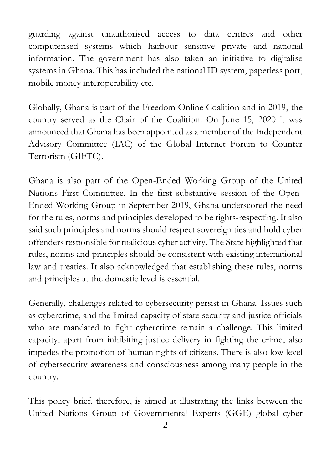guarding against unauthorised access to data centres and other computerised systems which harbour sensitive private and national information. The government has also taken an initiative to digitalise systems in Ghana. This has included the national ID system, paperless port, mobile money interoperability etc.

Globally, Ghana is part of the Freedom Online Coalition and in 2019, the country served as the Chair of the Coalition. On June 15, 2020 it was announced that Ghana has been appointed as a member of the Independent Advisory Committee (IAC) of the Global Internet Forum to Counter Terrorism (GIFTC).

Ghana is also part of the Open-Ended Working Group of the United Nations First Committee. In the first substantive session of the Open-Ended Working Group in September 2019, Ghana underscored the need for the rules, norms and principles developed to be rights-respecting. It also said such principles and norms should respect sovereign ties and hold cyber offenders responsible for malicious cyber activity. The State highlighted that rules, norms and principles should be consistent with existing international law and treaties. It also acknowledged that establishing these rules, norms and principles at the domestic level is essential.

Generally, challenges related to cybersecurity persist in Ghana. Issues such as cybercrime, and the limited capacity of state security and justice officials who are mandated to fight cybercrime remain a challenge. This limited capacity, apart from inhibiting justice delivery in fighting the crime, also impedes the promotion of human rights of citizens. There is also low level of cybersecurity awareness and consciousness among many people in the country.

This policy brief, therefore, is aimed at illustrating the links between the United Nations Group of Governmental Experts (GGE) global cyber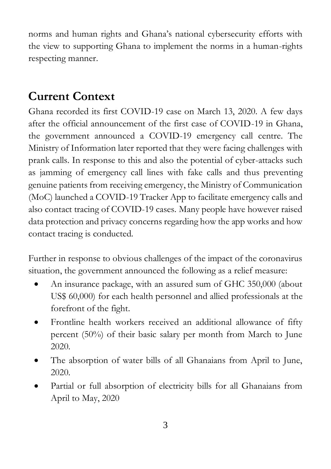norms and human rights and Ghana's national cybersecurity efforts with the view to supporting Ghana to implement the norms in a human-rights respecting manner.

# **Current Context**

Ghana recorded its first COVID-19 case on March 13, 2020. A few days after the official announcement of the first case of COVID-19 in Ghana, the government announced a COVID-19 emergency call centre. The Ministry of Information later reported that they were facing challenges with prank calls. In response to this and also the potential of cyber-attacks such as jamming of emergency call lines with fake calls and thus preventing genuine patients from receiving emergency, the Ministry of Communication (MoC) launched a COVID-19 Tracker App to facilitate emergency calls and also contact tracing of COVID-19 cases. Many people have however raised data protection and privacy concerns regarding how the app works and how contact tracing is conducted.

Further in response to obvious challenges of the impact of the coronavirus situation, the government announced the following as a relief measure:

- An insurance package, with an assured sum of GHC 350,000 (about US\$ 60,000) for each health personnel and allied professionals at the forefront of the fight.
- Frontline health workers received an additional allowance of fifty percent (50%) of their basic salary per month from March to June 2020.
- The absorption of water bills of all Ghanaians from April to June, 2020.
- Partial or full absorption of electricity bills for all Ghanaians from April to May, 2020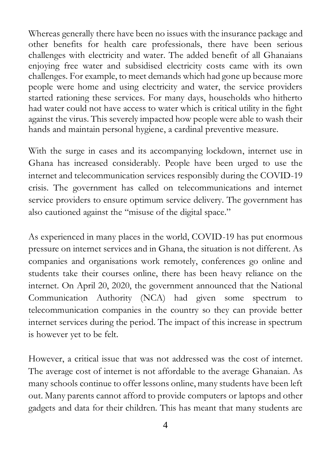Whereas generally there have been no issues with the insurance package and other benefits for health care professionals, there have been serious challenges with electricity and water. The added benefit of all Ghanaians enjoying free water and subsidised electricity costs came with its own challenges. For example, to meet demands which had gone up because more people were home and using electricity and water, the service providers started rationing these services. For many days, households who hitherto had water could not have access to water which is critical utility in the fight against the virus. This severely impacted how people were able to wash their hands and maintain personal hygiene, a cardinal preventive measure.

With the surge in cases and its accompanying lockdown, internet use in Ghana has increased considerably. People have been urged to use the internet and telecommunication services responsibly during the COVID-19 crisis. The government has called on telecommunications and internet service providers to ensure optimum service delivery. The government has also cautioned against the "misuse of the digital space."

As experienced in many places in the world, COVID-19 has put enormous pressure on internet services and in Ghana, the situation is not different. As companies and organisations work remotely, conferences go online and students take their courses online, there has been heavy reliance on the internet. On April 20, 2020, the government announced that the National Communication Authority (NCA) had given some spectrum to telecommunication companies in the country so they can provide better internet services during the period. The impact of this increase in spectrum is however yet to be felt.

However, a critical issue that was not addressed was the cost of internet. The average cost of internet is not affordable to the average Ghanaian. As many schools continue to offer lessons online, many students have been left out. Many parents cannot afford to provide computers or laptops and other gadgets and data for their children. This has meant that many students are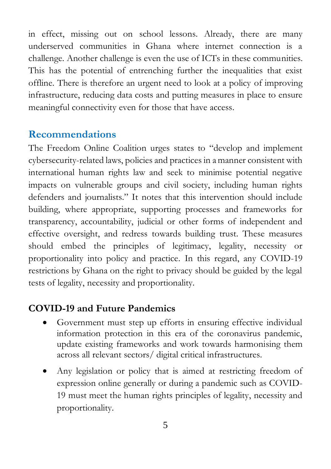in effect, missing out on school lessons. Already, there are many underserved communities in Ghana where internet connection is a challenge. Another challenge is even the use of ICTs in these communities. This has the potential of entrenching further the inequalities that exist offline. There is therefore an urgent need to look at a policy of improving infrastructure, reducing data costs and putting measures in place to ensure meaningful connectivity even for those that have access.

#### **Recommendations**

The Freedom Online Coalition urges states to "develop and implement cybersecurity-related laws, policies and practices in a manner consistent with international human rights law and seek to minimise potential negative impacts on vulnerable groups and civil society, including human rights defenders and journalists." It notes that this intervention should include building, where appropriate, supporting processes and frameworks for transparency, accountability, judicial or other forms of independent and effective oversight, and redress towards building trust. These measures should embed the principles of legitimacy, legality, necessity or proportionality into policy and practice. In this regard, any COVID-19 restrictions by Ghana on the right to privacy should be guided by the legal tests of legality, necessity and proportionality.

#### **COVID-19 and Future Pandemics**

- Government must step up efforts in ensuring effective individual information protection in this era of the coronavirus pandemic, update existing frameworks and work towards harmonising them across all relevant sectors/ digital critical infrastructures.
- Any legislation or policy that is aimed at restricting freedom of expression online generally or during a pandemic such as COVID-19 must meet the human rights principles of legality, necessity and proportionality.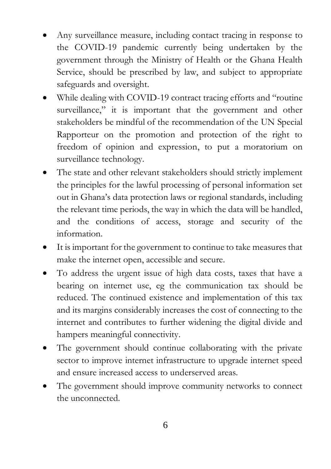- Any surveillance measure, including contact tracing in response to the COVID-19 pandemic currently being undertaken by the government through the Ministry of Health or the Ghana Health Service, should be prescribed by law, and subject to appropriate safeguards and oversight.
- While dealing with COVID-19 contract tracing efforts and "routine" surveillance," it is important that the government and other stakeholders be mindful of the recommendation of the UN Special Rapporteur on the promotion and protection of the right to freedom of opinion and expression, to put a moratorium on surveillance technology.
- The state and other relevant stakeholders should strictly implement the principles for the lawful processing of personal information set out in Ghana's data protection laws or regional standards, including the relevant time periods, the way in which the data will be handled, and the conditions of access, storage and security of the information.
- It is important for the government to continue to take measures that make the internet open, accessible and secure.
- To address the urgent issue of high data costs, taxes that have a bearing on internet use, eg the communication tax should be reduced. The continued existence and implementation of this tax and its margins considerably increases the cost of connecting to the internet and contributes to further widening the digital divide and hampers meaningful connectivity.
- The government should continue collaborating with the private sector to improve internet infrastructure to upgrade internet speed and ensure increased access to underserved areas.
- The government should improve community networks to connect the unconnected.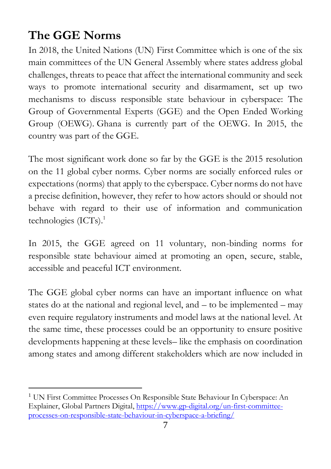# **The GGE Norms**

In 2018, the United Nations (UN) First Committee which is one of the six main committees of the UN General Assembly where states address global challenges, threats to peace that affect the international community and seek ways to promote international security and disarmament, set up two mechanisms to discuss responsible state behaviour in cyberspace: The Group of Governmental Experts (GGE) and the Open Ended Working Group (OEWG). Ghana is currently part of the OEWG. In 2015, the country was part of the GGE.

The most significant work done so far by the GGE is the 2015 resolution on the 11 global cyber norms. Cyber norms are socially enforced rules or expectations (norms) that apply to the cyberspace. Cyber norms do not have a precise definition, however, they refer to how actors should or should not behave with regard to their use of information and communication technologies  $(ICTs).<sup>1</sup>$ 

In 2015, the GGE agreed on 11 voluntary, non-binding norms for responsible state behaviour aimed at promoting an open, secure, stable, accessible and peaceful ICT environment.

The GGE global cyber norms can have an important influence on what states do at the national and regional level, and – to be implemented – may even require regulatory instruments and model laws at the national level. At the same time, these processes could be an opportunity to ensure positive developments happening at these levels– like the emphasis on coordination among states and among different stakeholders which are now included in

<sup>1</sup> UN First Committee Processes On Responsible State Behaviour In Cyberspace: An Explainer, Global Partners Digital[, https://www.gp-digital.org/un-first-committee](https://www.gp-digital.org/un-first-committee-processes-on-responsible-state-behaviour-in-cyberspace-a-briefing/)[processes-on-responsible-state-behaviour-in-cyberspace-a-briefing/](https://www.gp-digital.org/un-first-committee-processes-on-responsible-state-behaviour-in-cyberspace-a-briefing/)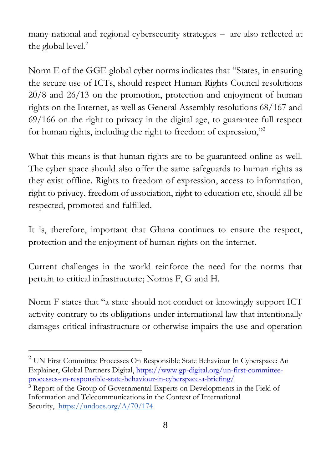many national and regional cybersecurity strategies – are also reflected at the global level.<sup>2</sup>

Norm E of the GGE global cyber norms indicates that "States, in ensuring the secure use of ICTs, should respect Human Rights Council resolutions 20/8 and 26/13 on the promotion, protection and enjoyment of human rights on the Internet, as well as General Assembly resolutions 68/167 and 69/166 on the right to privacy in the digital age, to guarantee full respect for human rights, including the right to freedom of expression,"<sup>3</sup>

What this means is that human rights are to be guaranteed online as well. The cyber space should also offer the same safeguards to human rights as they exist offline. Rights to freedom of expression, access to information, right to privacy, freedom of association, right to education etc, should all be respected, promoted and fulfilled.

It is, therefore, important that Ghana continues to ensure the respect, protection and the enjoyment of human rights on the internet.

Current challenges in the world reinforce the need for the norms that pertain to critical infrastructure; Norms F, G and H.

Norm F states that "a state should not conduct or knowingly support ICT activity contrary to its obligations under international law that intentionally damages critical infrastructure or otherwise impairs the use and operation

**<sup>2</sup>** UN First Committee Processes On Responsible State Behaviour In Cyberspace: An Explainer, Global Partners Digital[, https://www.gp-digital.org/un-first-committee](https://www.gp-digital.org/un-first-committee-processes-on-responsible-state-behaviour-in-cyberspace-a-briefing/)[processes-on-responsible-state-behaviour-in-cyberspace-a-briefing/](https://www.gp-digital.org/un-first-committee-processes-on-responsible-state-behaviour-in-cyberspace-a-briefing/)

<sup>&</sup>lt;sup>3</sup> Report of the Group of Governmental Experts on Developments in the Field of Information and Telecommunications in the Context of International Security, <https://undocs.org/A/70/174>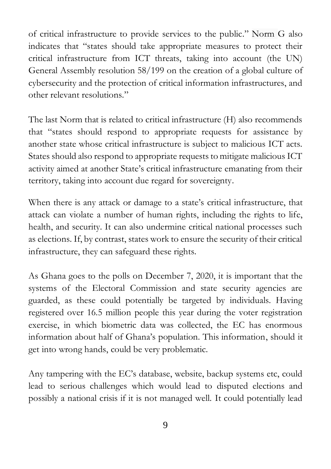of critical infrastructure to provide services to the public." Norm G also indicates that "states should take appropriate measures to protect their critical infrastructure from ICT threats, taking into account (the UN) General Assembly resolution 58/199 on the creation of a global culture of cybersecurity and the protection of critical information infrastructures, and other relevant resolutions."

The last Norm that is related to critical infrastructure (H) also recommends that "states should respond to appropriate requests for assistance by another state whose critical infrastructure is subject to malicious ICT acts. States should also respond to appropriate requests to mitigate malicious ICT activity aimed at another State's critical infrastructure emanating from their territory, taking into account due regard for sovereignty.

When there is any attack or damage to a state's critical infrastructure, that attack can violate a number of human rights, including the rights to life, health, and security. It can also undermine critical national processes such as elections. If, by contrast, states work to ensure the security of their critical infrastructure, they can safeguard these rights.

As Ghana goes to the polls on December 7, 2020, it is important that the systems of the Electoral Commission and state security agencies are guarded, as these could potentially be targeted by individuals. Having registered over 16.5 million people this year during the voter registration exercise, in which biometric data was collected, the EC has enormous information about half of Ghana's population. This information, should it get into wrong hands, could be very problematic.

Any tampering with the EC's database, website, backup systems etc, could lead to serious challenges which would lead to disputed elections and possibly a national crisis if it is not managed well. It could potentially lead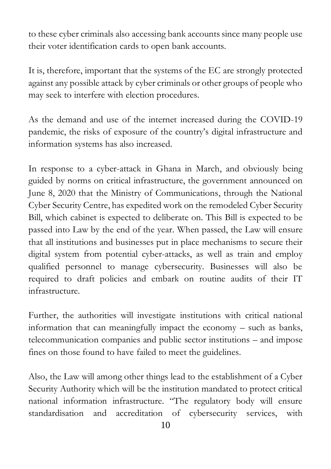to these cyber criminals also accessing bank accounts since many people use their voter identification cards to open bank accounts.

It is, therefore, important that the systems of the EC are strongly protected against any possible attack by cyber criminals or other groups of people who may seek to interfere with election procedures.

As the demand and use of the internet increased during the COVID-19 pandemic, the risks of exposure of the country's digital infrastructure and information systems has also increased.

In response to a cyber-attack in Ghana in March, and obviously being guided by norms on critical infrastructure, the government announced on June 8, 2020 that the Ministry of Communications, through the National Cyber Security Centre, has expedited work on the remodeled Cyber Security Bill, which cabinet is expected to deliberate on. This Bill is expected to be passed into Law by the end of the year. When passed, the Law will ensure that all institutions and businesses put in place mechanisms to secure their digital system from potential cyber-attacks, as well as train and employ qualified personnel to manage cybersecurity. Businesses will also be required to draft policies and embark on routine audits of their IT infrastructure.

Further, the authorities will investigate institutions with critical national information that can meaningfully impact the economy – such as banks, telecommunication companies and public sector institutions – and impose fines on those found to have failed to meet the guidelines.

Also, the Law will among other things lead to the establishment of a Cyber Security Authority which will be the institution mandated to protect critical national information infrastructure. "The regulatory body will ensure standardisation and accreditation of cybersecurity services, with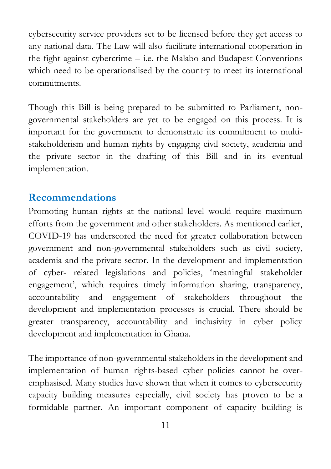cybersecurity service providers set to be licensed before they get access to any national data. The Law will also facilitate international cooperation in the fight against cybercrime – i.e. the Malabo and Budapest Conventions which need to be operationalised by the country to meet its international commitments.

Though this Bill is being prepared to be submitted to Parliament, nongovernmental stakeholders are yet to be engaged on this process. It is important for the government to demonstrate its commitment to multistakeholderism and human rights by engaging civil society, academia and the private sector in the drafting of this Bill and in its eventual implementation.

#### **Recommendations**

Promoting human rights at the national level would require maximum efforts from the government and other stakeholders. As mentioned earlier, COVID-19 has underscored the need for greater collaboration between government and non-governmental stakeholders such as civil society, academia and the private sector. In the development and implementation of cyber- related legislations and policies, 'meaningful stakeholder engagement', which requires timely information sharing, transparency, accountability and engagement of stakeholders throughout the development and implementation processes is crucial. There should be greater transparency, accountability and inclusivity in cyber policy development and implementation in Ghana.

The importance of non-governmental stakeholders in the development and implementation of human rights-based cyber policies cannot be overemphasised. Many studies have shown that when it comes to cybersecurity capacity building measures especially, civil society has proven to be a formidable partner. An important component of capacity building is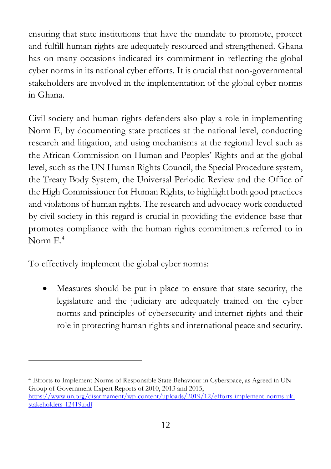ensuring that state institutions that have the mandate to promote, protect and fulfill human rights are adequately resourced and strengthened. Ghana has on many occasions indicated its commitment in reflecting the global cyber norms in its national cyber efforts. It is crucial that non-governmental stakeholders are involved in the implementation of the global cyber norms in Ghana.

Civil society and human rights defenders also play a role in implementing Norm E, by documenting state practices at the national level, conducting research and litigation, and using mechanisms at the regional level such as the African Commission on Human and Peoples' Rights and at the global level, such as the UN Human Rights Council, the Special Procedure system, the Treaty Body System, the Universal Periodic Review and the Office of the High Commissioner for Human Rights, to highlight both good practices and violations of human rights. The research and advocacy work conducted by civil society in this regard is crucial in providing the evidence base that promotes compliance with the human rights commitments referred to in Norm E. 4

To effectively implement the global cyber norms:

• Measures should be put in place to ensure that state security, the legislature and the judiciary are adequately trained on the cyber norms and principles of cybersecurity and internet rights and their role in protecting human rights and international peace and security.

<sup>4</sup> Efforts to Implement Norms of Responsible State Behaviour in Cyberspace, as Agreed in UN Group of Government Expert Reports of 2010, 2013 and 2015, [https://www.un.org/disarmament/wp-content/uploads/2019/12/efforts-implement-norms-uk](https://www.un.org/disarmament/wp-content/uploads/2019/12/efforts-implement-norms-uk-stakeholders-12419.pdf)[stakeholders-12419.pdf](https://www.un.org/disarmament/wp-content/uploads/2019/12/efforts-implement-norms-uk-stakeholders-12419.pdf)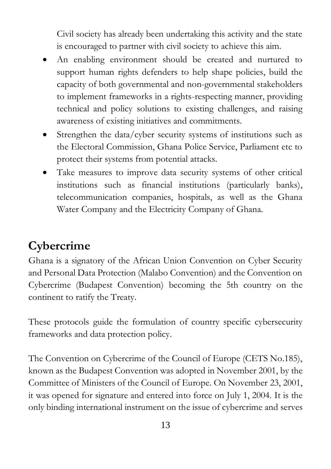Civil society has already been undertaking this activity and the state is encouraged to partner with civil society to achieve this aim.

- An enabling environment should be created and nurtured to support human rights defenders to help shape policies, build the capacity of both governmental and non-governmental stakeholders to implement frameworks in a rights-respecting manner, providing technical and policy solutions to existing challenges, and raising awareness of existing initiatives and commitments.
- Strengthen the data/cyber security systems of institutions such as the Electoral Commission, Ghana Police Service, Parliament etc to protect their systems from potential attacks.
- Take measures to improve data security systems of other critical institutions such as financial institutions (particularly banks), telecommunication companies, hospitals, as well as the Ghana Water Company and the Electricity Company of Ghana.

# **Cybercrime**

Ghana is a signatory of the African Union Convention on Cyber Security and Personal Data Protection (Malabo Convention) and the Convention on Cybercrime (Budapest Convention) becoming the 5th country on the continent to ratify the Treaty.

These protocols guide the formulation of country specific cybersecurity frameworks and data protection policy.

The Convention on Cybercrime of the Council of Europe (CETS No.185), known as the Budapest Convention was adopted in November 2001, by the Committee of Ministers of the Council of Europe. On November 23, 2001, it was opened for signature and entered into force on July 1, 2004. It is the only binding international instrument on the issue of cybercrime and serves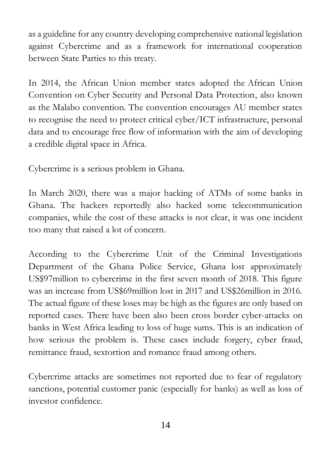as a guideline for any country developing comprehensive national legislation against Cybercrime and as a framework for international cooperation between State Parties to this treaty.

In 2014, the African Union member states adopted the [African Union](https://au.int/sites/default/files/treaties/29560-treaty-0048_-_african_union_convention_on_cyber_security_and_personal_data_protection_e.pdf)  [Convention on Cyber Security and Personal Data Protection,](https://au.int/sites/default/files/treaties/29560-treaty-0048_-_african_union_convention_on_cyber_security_and_personal_data_protection_e.pdf) also known as the Malabo convention. The convention encourages AU member states to recognise the need to protect critical cyber/ICT infrastructure, personal data and to encourage free flow of information with the aim of developing a credible digital space in Africa.

Cybercrime is a serious problem in Ghana.

In March 2020, there was a major hacking of ATMs of some banks in Ghana. The hackers reportedly also hacked some telecommunication companies, while the cost of these attacks is not clear, it was one incident too many that raised a lot of concern.

According to the Cybercrime Unit of the Criminal Investigations Department of the Ghana Police Service, Ghana lost approximately US\$97million to cybercrime in the first seven month of 2018. This figure was an increase from US\$69million lost in 2017 and US\$26million in 2016. The actual figure of these loses may be high as the figures are only based on reported cases. There have been also been cross border cyber-attacks on banks in West Africa leading to loss of huge sums. This is an indication of how serious the problem is. These cases include forgery, cyber fraud, remittance fraud, sextortion and romance fraud among others.

Cybercrime attacks are sometimes not reported due to fear of regulatory sanctions, potential customer panic (especially for banks) as well as loss of investor confidence.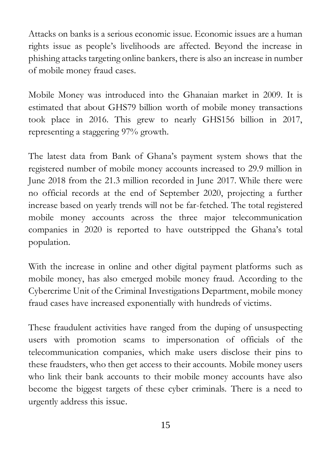Attacks on banks is a serious economic issue. Economic issues are a human rights issue as people's livelihoods are affected. Beyond the increase in phishing attacks targeting online bankers, there is also an increase in number of mobile money fraud cases.

Mobile Money was introduced into the Ghanaian market in 2009. It is estimated that about GHS79 billion worth of mobile money transactions took place in 2016. This grew to nearly GHS156 billion in 2017, representing a staggering 97% growth.

The latest data from Bank of Ghana's payment system shows that the registered number of mobile money accounts increased to 29.9 million in June 2018 from the 21.3 million recorded in June 2017. While there were no official records at the end of September 2020, projecting a further increase based on yearly trends will not be far-fetched. The total registered mobile money accounts across the three major telecommunication companies in 2020 is reported to have outstripped the Ghana's total population.

With the increase in online and other digital payment platforms such as mobile money, has also emerged mobile money fraud. According to the Cybercrime Unit of the Criminal Investigations Department, mobile money fraud cases have increased exponentially with hundreds of victims.

These fraudulent activities have ranged from the duping of unsuspecting users with promotion scams to impersonation of officials of the telecommunication companies, which make users disclose their pins to these fraudsters, who then get access to their accounts. Mobile money users who link their bank accounts to their mobile money accounts have also become the biggest targets of these cyber criminals. There is a need to urgently address this issue.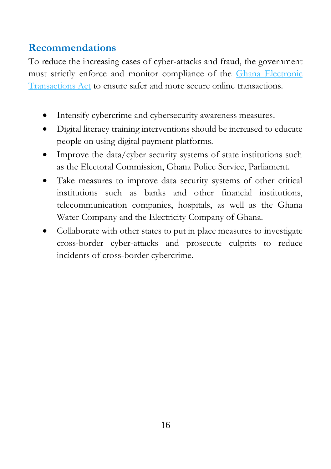#### **Recommendations**

To reduce the increasing cases of cyber-attacks and fraud, the government must strictly enforce and monitor compliance of the [Ghana Electronic](https://www.moc.gov.gh/electronic-transactions-act-772)  [Transactions Act](https://www.moc.gov.gh/electronic-transactions-act-772) to ensure safer and more secure online transactions.

- Intensify cybercrime and cybersecurity awareness measures.
- Digital literacy training interventions should be increased to educate people on using digital payment platforms.
- Improve the data/cyber security systems of state institutions such as the Electoral Commission, Ghana Police Service, Parliament.
- Take measures to improve data security systems of other critical institutions such as banks and other financial institutions, telecommunication companies, hospitals, as well as the Ghana Water Company and the Electricity Company of Ghana.
- Collaborate with other states to put in place measures to investigate cross-border cyber-attacks and prosecute culprits to reduce incidents of cross-border cybercrime.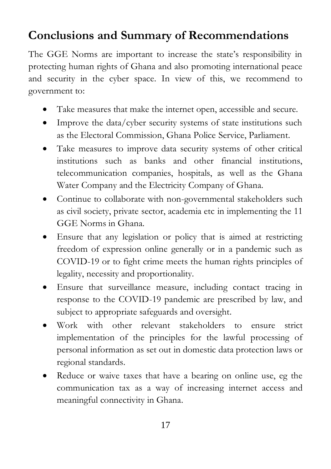### **Conclusions and Summary of Recommendations**

The GGE Norms are important to increase the state's responsibility in protecting human rights of Ghana and also promoting international peace and security in the cyber space. In view of this, we recommend to government to:

- Take measures that make the internet open, accessible and secure.
- Improve the data/cyber security systems of state institutions such as the Electoral Commission, Ghana Police Service, Parliament.
- Take measures to improve data security systems of other critical institutions such as banks and other financial institutions, telecommunication companies, hospitals, as well as the Ghana Water Company and the Electricity Company of Ghana.
- Continue to collaborate with non-governmental stakeholders such as civil society, private sector, academia etc in implementing the 11 GGE Norms in Ghana.
- Ensure that any legislation or policy that is aimed at restricting freedom of expression online generally or in a pandemic such as COVID-19 or to fight crime meets the human rights principles of legality, necessity and proportionality.
- Ensure that surveillance measure, including contact tracing in response to the COVID-19 pandemic are prescribed by law, and subject to appropriate safeguards and oversight.
- Work with other relevant stakeholders to ensure strict implementation of the principles for the lawful processing of personal information as set out in domestic data protection laws or regional standards.
- Reduce or waive taxes that have a bearing on online use, eg the communication tax as a way of increasing internet access and meaningful connectivity in Ghana.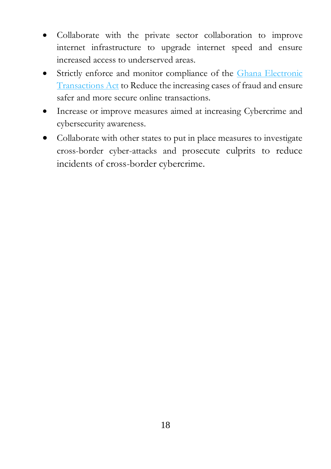- Collaborate with the private sector collaboration to improve internet infrastructure to upgrade internet speed and ensure increased access to underserved areas.
- Strictly enforce and monitor compliance of the Ghana Electronic [Transactions Act](https://www.moc.gov.gh/electronic-transactions-act-772) to Reduce the increasing cases of fraud and ensure safer and more secure online transactions.
- Increase or improve measures aimed at increasing Cybercrime and cybersecurity awareness.
- Collaborate with other states to put in place measures to investigate cross-border cyber-attacks and prosecute culprits to reduce incidents of cross-border cybercrime.